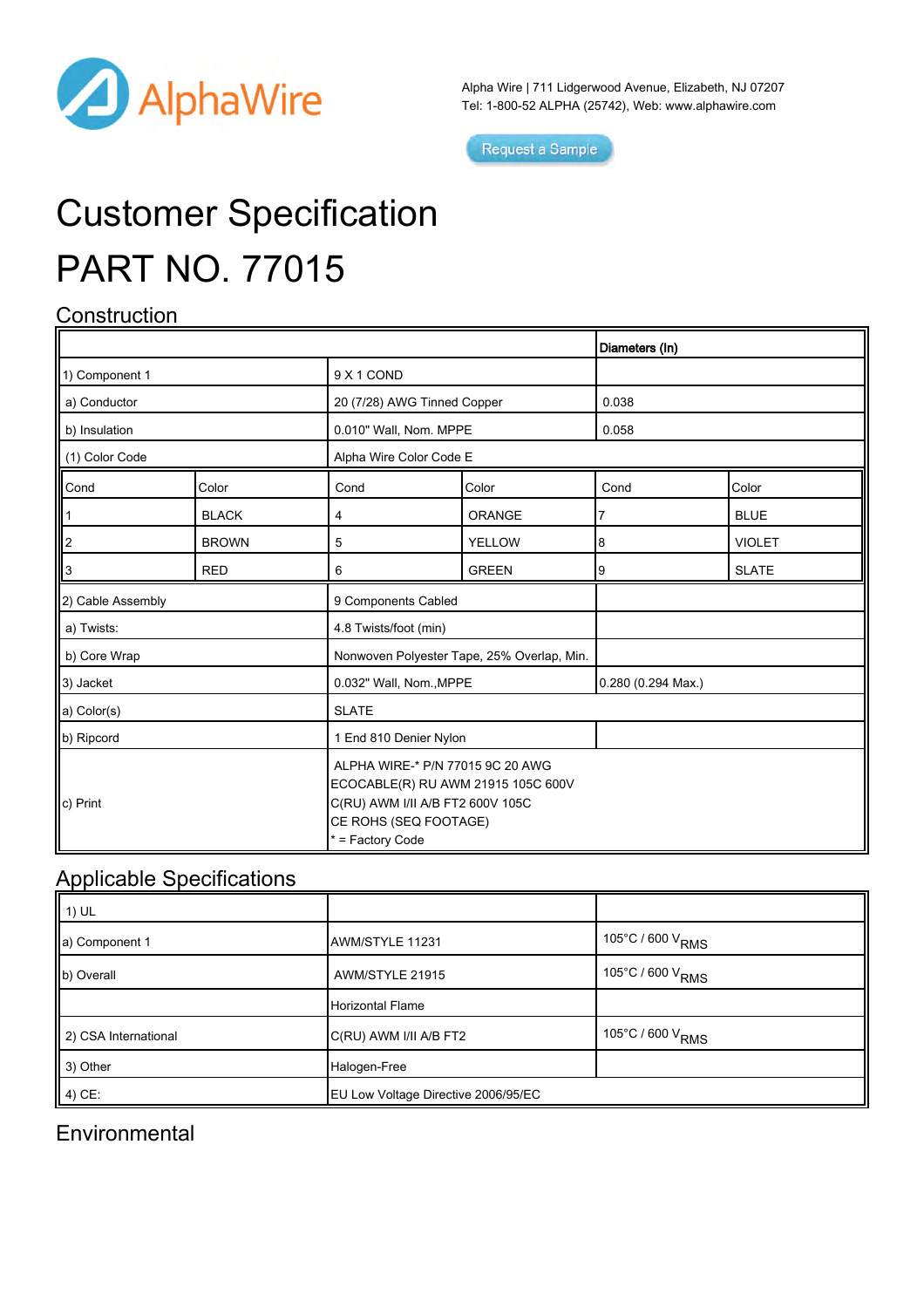

Alpha Wire | 711 Lidgerwood Avenue, Elizabeth, NJ 07207 Tel: 1-800-52 ALPHA (25742), Web: [www.alphawire.com](http://www.alphawire.com)

Request a Sample

# Customer Specification PART NO. 77015

## **Construction**

|                   |              |                                                                                                                                                         |               | Diameters (In)     |               |
|-------------------|--------------|---------------------------------------------------------------------------------------------------------------------------------------------------------|---------------|--------------------|---------------|
| 1) Component 1    |              | 9 X 1 COND                                                                                                                                              |               |                    |               |
| a) Conductor      |              | 20 (7/28) AWG Tinned Copper                                                                                                                             |               | 0.038              |               |
| b) Insulation     |              | 0.010" Wall, Nom. MPPE                                                                                                                                  |               | 0.058              |               |
| (1) Color Code    |              | Alpha Wire Color Code E                                                                                                                                 |               |                    |               |
| Cond              | Color        | Cond                                                                                                                                                    | Color         | Cond               | Color         |
|                   | <b>BLACK</b> | 4                                                                                                                                                       | <b>ORANGE</b> | 7                  | <b>BLUE</b>   |
| ll2               | <b>BROWN</b> | 5                                                                                                                                                       | <b>YELLOW</b> | 8                  | <b>VIOLET</b> |
| 'З                | <b>RED</b>   | 6                                                                                                                                                       | <b>GREEN</b>  | 9                  | <b>SLATE</b>  |
| 2) Cable Assembly |              | 9 Components Cabled                                                                                                                                     |               |                    |               |
| a) Twists:        |              | 4.8 Twists/foot (min)                                                                                                                                   |               |                    |               |
| b) Core Wrap      |              | Nonwoven Polyester Tape, 25% Overlap, Min.                                                                                                              |               |                    |               |
| 3) Jacket         |              | 0.032" Wall, Nom., MPPE                                                                                                                                 |               | 0.280 (0.294 Max.) |               |
| a) Color(s)       |              | <b>SLATE</b>                                                                                                                                            |               |                    |               |
| b) Ripcord        |              | 1 End 810 Denier Nylon                                                                                                                                  |               |                    |               |
| c) Print          |              | ALPHA WIRE-* P/N 77015 9C 20 AWG<br>ECOCABLE(R) RU AWM 21915 105C 600V<br>C(RU) AWM I/II A/B FT2 600V 105C<br>CE ROHS (SEQ FOOTAGE)<br>* = Factory Code |               |                    |               |

### Applicable Specifications

| $\parallel$ 1) UL    |                                     |                                      |
|----------------------|-------------------------------------|--------------------------------------|
| a) Component 1       | AWM/STYLE 11231                     | 105°C / 600 V <sub>RMS</sub>         |
| b) Overall           | AWM/STYLE 21915                     | $105^{\circ}$ C / 600 V $_{\rm RMS}$ |
|                      | Horizontal Flame                    |                                      |
| 2) CSA International | C(RU) AWM I/II A/B FT2              | 105°C / 600 $\rm V_{RMS}$            |
| 3) Other             | Halogen-Free                        |                                      |
| $(4)$ CE:            | EU Low Voltage Directive 2006/95/EC |                                      |

### **Environmental**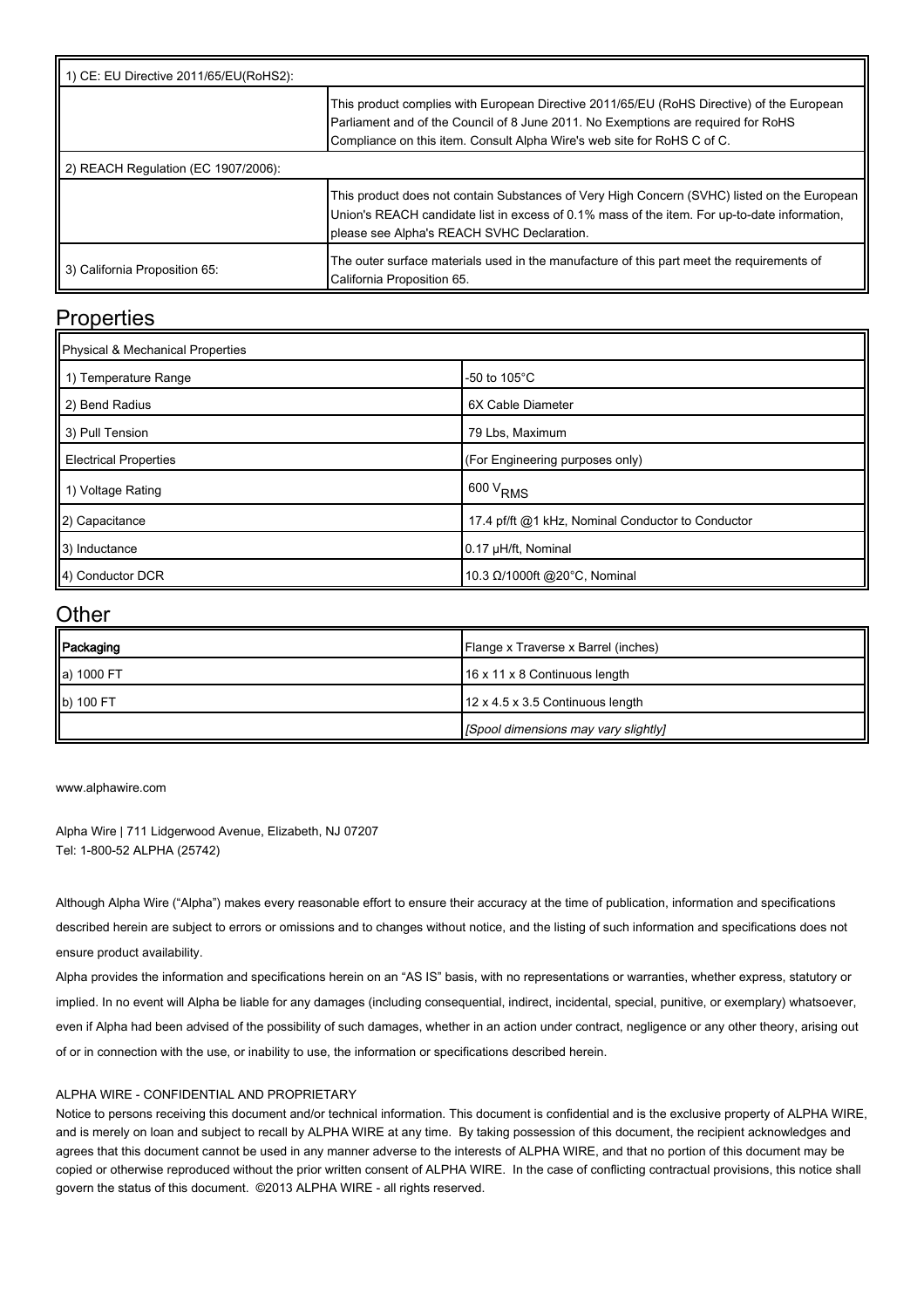| 1) CE: EU Directive 2011/65/EU(RoHS2): |                                                                                                                                                                                                                                                           |  |  |  |
|----------------------------------------|-----------------------------------------------------------------------------------------------------------------------------------------------------------------------------------------------------------------------------------------------------------|--|--|--|
|                                        | This product complies with European Directive 2011/65/EU (RoHS Directive) of the European<br>Parliament and of the Council of 8 June 2011. No Exemptions are required for RoHS<br>Compliance on this item. Consult Alpha Wire's web site for RoHS C of C. |  |  |  |
| 2) REACH Regulation (EC 1907/2006):    |                                                                                                                                                                                                                                                           |  |  |  |
|                                        | This product does not contain Substances of Very High Concern (SVHC) listed on the European<br>Union's REACH candidate list in excess of 0.1% mass of the item. For up-to-date information,<br>please see Alpha's REACH SVHC Declaration.                 |  |  |  |
| 3) California Proposition 65:          | The outer surface materials used in the manufacture of this part meet the requirements of<br>California Proposition 65.                                                                                                                                   |  |  |  |

#### **Properties**

| Physical & Mechanical Properties |                                                   |  |  |  |
|----------------------------------|---------------------------------------------------|--|--|--|
| 1) Temperature Range             | -50 to $105^{\circ}$ C                            |  |  |  |
| 2) Bend Radius                   | 6X Cable Diameter                                 |  |  |  |
| 3) Pull Tension                  | 79 Lbs, Maximum                                   |  |  |  |
| <b>Electrical Properties</b>     | (For Engineering purposes only)                   |  |  |  |
| 1) Voltage Rating                | $600 V_{RMS}$                                     |  |  |  |
| 2) Capacitance                   | 17.4 pf/ft @1 kHz, Nominal Conductor to Conductor |  |  |  |
| 3) Inductance                    | 0.17 µH/ft, Nominal                               |  |  |  |
| 4) Conductor DCR                 | 10.3 Ω/1000ft @20°C, Nominal                      |  |  |  |

#### **Other**

| Packaging  | Flange x Traverse x Barrel (inches)  |
|------------|--------------------------------------|
| a) 1000 FT | 16 x 11 x 8 Continuous length        |
| b) 100 FT  | 12 x 4.5 x 3.5 Continuous length     |
|            | [Spool dimensions may vary slightly] |

[www.alphawire.com](http://www.alphawire.com)

Alpha Wire | 711 Lidgerwood Avenue, Elizabeth, NJ 07207 Tel: 1-800-52 ALPHA (25742)

Although Alpha Wire ("Alpha") makes every reasonable effort to ensure their accuracy at the time of publication, information and specifications described herein are subject to errors or omissions and to changes without notice, and the listing of such information and specifications does not ensure product availability.

Alpha provides the information and specifications herein on an "AS IS" basis, with no representations or warranties, whether express, statutory or implied. In no event will Alpha be liable for any damages (including consequential, indirect, incidental, special, punitive, or exemplary) whatsoever, even if Alpha had been advised of the possibility of such damages, whether in an action under contract, negligence or any other theory, arising out of or in connection with the use, or inability to use, the information or specifications described herein.

#### ALPHA WIRE - CONFIDENTIAL AND PROPRIETARY

Notice to persons receiving this document and/or technical information. This document is confidential and is the exclusive property of ALPHA WIRE, and is merely on loan and subject to recall by ALPHA WIRE at any time. By taking possession of this document, the recipient acknowledges and agrees that this document cannot be used in any manner adverse to the interests of ALPHA WIRE, and that no portion of this document may be copied or otherwise reproduced without the prior written consent of ALPHA WIRE. In the case of conflicting contractual provisions, this notice shall govern the status of this document. ©2013 ALPHA WIRE - all rights reserved.